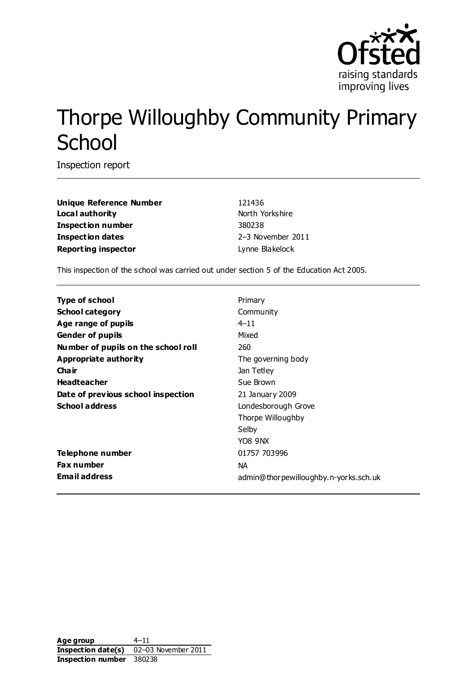

# Thorpe Willoughby Community Primary **School**

Inspection report

**Unique Reference Number** 121436 **Local authority North Yorkshire** North Yorkshire **Inspection number** 380238 **Inspection dates** 2–3 November 2011 **Reporting inspector Contract Exercise 2 and American Expansion Lynne Blakelock** 

This inspection of the school was carried out under section 5 of the Education Act 2005.

| Type of school                      | Primary                               |
|-------------------------------------|---------------------------------------|
| <b>School category</b>              | Community                             |
| Age range of pupils                 | $4 - 11$                              |
| <b>Gender of pupils</b>             | Mixed                                 |
| Number of pupils on the school roll | 260                                   |
| Appropriate authority               | The governing body                    |
| Cha ir                              | Jan Tetley                            |
| <b>Headteacher</b>                  | Sue Brown                             |
| Date of previous school inspection  | 21 January 2009                       |
| <b>School address</b>               | Londesborough Grove                   |
|                                     | Thorpe Willoughby                     |
|                                     | Selby                                 |
|                                     | YO8 9NX                               |
| Telephone number                    | 01757 703996                          |
| <b>Fax number</b>                   | NA.                                   |
| <b>Email address</b>                | admin@thorpewilloughby.n-yorks.sch.uk |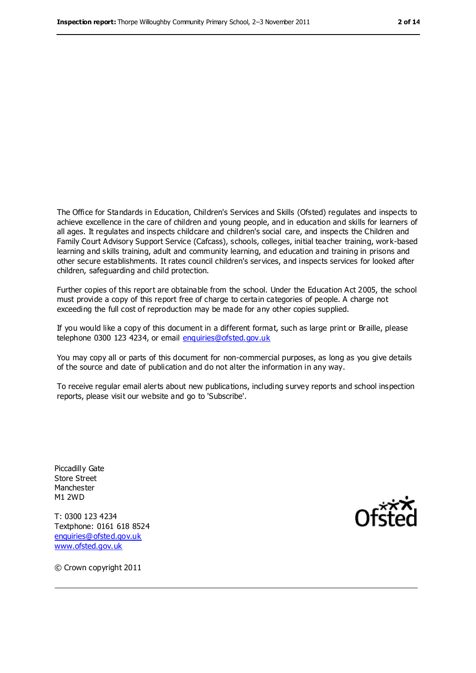The Office for Standards in Education, Children's Services and Skills (Ofsted) regulates and inspects to achieve excellence in the care of children and young people, and in education and skills for learners of all ages. It regulates and inspects childcare and children's social care, and inspects the Children and Family Court Advisory Support Service (Cafcass), schools, colleges, initial teacher training, work-based learning and skills training, adult and community learning, and education and training in prisons and other secure establishments. It rates council children's services, and inspects services for looked after children, safeguarding and child protection.

Further copies of this report are obtainable from the school. Under the Education Act 2005, the school must provide a copy of this report free of charge to certain categories of people. A charge not exceeding the full cost of reproduction may be made for any other copies supplied.

If you would like a copy of this document in a different format, such as large print or Braille, please telephone 0300 123 4234, or email [enquiries@ofsted.gov.uk](mailto:enquiries@ofsted.gov.uk)

You may copy all or parts of this document for non-commercial purposes, as long as you give details of the source and date of publication and do not alter the information in any way.

To receive regular email alerts about new publications, including survey reports and school inspection reports, please visit our website and go to 'Subscribe'.

Piccadilly Gate Store Street Manchester M1 2WD

T: 0300 123 4234 Textphone: 0161 618 8524 [enquiries@ofsted.gov.uk](mailto:enquiries@ofsted.gov.uk) [www.ofsted.gov.uk](http://www.ofsted.gov.uk/)



© Crown copyright 2011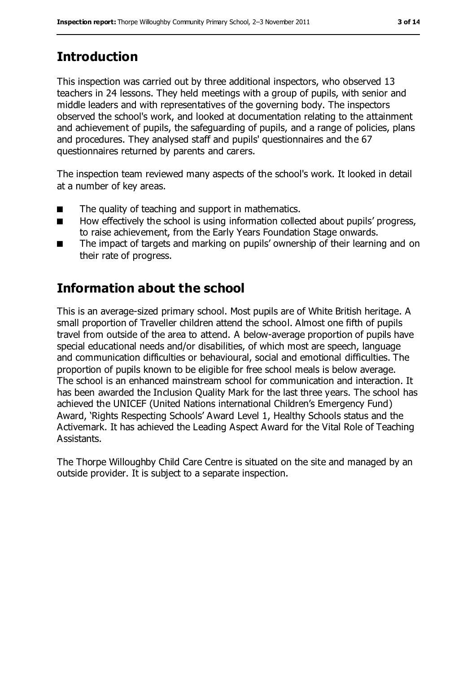# **Introduction**

This inspection was carried out by three additional inspectors, who observed 13 teachers in 24 lessons. They held meetings with a group of pupils, with senior and middle leaders and with representatives of the governing body. The inspectors observed the school's work, and looked at documentation relating to the attainment and achievement of pupils, the safeguarding of pupils, and a range of policies, plans and procedures. They analysed staff and pupils' questionnaires and the 67 questionnaires returned by parents and carers.

The inspection team reviewed many aspects of the school's work. It looked in detail at a number of key areas.

- The quality of teaching and support in mathematics.
- How effectively the school is using information collected about pupils' progress, to raise achievement, from the Early Years Foundation Stage onwards.
- The impact of targets and marking on pupils' ownership of their learning and on their rate of progress.

# **Information about the school**

This is an average-sized primary school. Most pupils are of White British heritage. A small proportion of Traveller children attend the school. Almost one fifth of pupils travel from outside of the area to attend. A below-average proportion of pupils have special educational needs and/or disabilities, of which most are speech, language and communication difficulties or behavioural, social and emotional difficulties. The proportion of pupils known to be eligible for free school meals is below average. The school is an enhanced mainstream school for communication and interaction. It has been awarded the Inclusion Quality Mark for the last three years. The school has achieved the UNICEF (United Nations international Children's Emergency Fund) Award, 'Rights Respecting Schools' Award Level 1, Healthy Schools status and the Activemark. It has achieved the Leading Aspect Award for the Vital Role of Teaching Assistants.

The Thorpe Willoughby Child Care Centre is situated on the site and managed by an outside provider. It is subject to a separate inspection.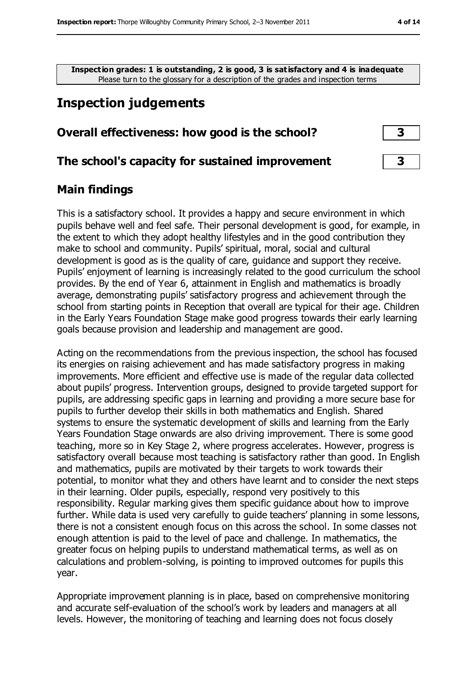**Inspection grades: 1 is outstanding, 2 is good, 3 is satisfactory and 4 is inadequate** Please turn to the glossary for a description of the grades and inspection terms

# **Inspection judgements**

#### **Overall effectiveness: how good is the school? 3**

#### **The school's capacity for sustained improvement 3**

#### **Main findings**

This is a satisfactory school. It provides a happy and secure environment in which pupils behave well and feel safe. Their personal development is good, for example, in the extent to which they adopt healthy lifestyles and in the good contribution they make to school and community. Pupils' spiritual, moral, social and cultural development is good as is the quality of care, guidance and support they receive. Pupils' enjoyment of learning is increasingly related to the good curriculum the school provides. By the end of Year 6, attainment in English and mathematics is broadly average, demonstrating pupils' satisfactory progress and achievement through the school from starting points in Reception that overall are typical for their age. Children in the Early Years Foundation Stage make good progress towards their early learning goals because provision and leadership and management are good.

Acting on the recommendations from the previous inspection, the school has focused its energies on raising achievement and has made satisfactory progress in making improvements. More efficient and effective use is made of the regular data collected about pupils' progress. Intervention groups, designed to provide targeted support for pupils, are addressing specific gaps in learning and providing a more secure base for pupils to further develop their skills in both mathematics and English. Shared systems to ensure the systematic development of skills and learning from the Early Years Foundation Stage onwards are also driving improvement. There is some good teaching, more so in Key Stage 2, where progress accelerates. However, progress is satisfactory overall because most teaching is satisfactory rather than good. In English and mathematics, pupils are motivated by their targets to work towards their potential, to monitor what they and others have learnt and to consider the next steps in their learning. Older pupils, especially, respond very positively to this responsibility. Regular marking gives them specific guidance about how to improve further. While data is used very carefully to guide teachers' planning in some lessons, there is not a consistent enough focus on this across the school. In some classes not enough attention is paid to the level of pace and challenge. In mathematics, the greater focus on helping pupils to understand mathematical terms, as well as on calculations and problem-solving, is pointing to improved outcomes for pupils this year.

Appropriate improvement planning is in place, based on comprehensive monitoring and accurate self-evaluation of the school's work by leaders and managers at all levels. However, the monitoring of teaching and learning does not focus closely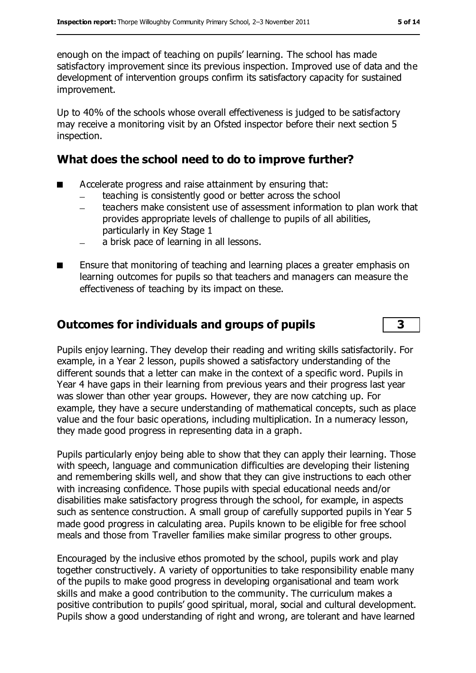enough on the impact of teaching on pupils' learning. The school has made satisfactory improvement since its previous inspection. Improved use of data and the development of intervention groups confirm its satisfactory capacity for sustained improvement.

Up to 40% of the schools whose overall effectiveness is judged to be satisfactory may receive a monitoring visit by an Ofsted inspector before their next section 5 inspection.

## **What does the school need to do to improve further?**

- Accelerate progress and raise attainment by ensuring that:
	- teaching is consistently good or better across the school
	- teachers make consistent use of assessment information to plan work that  $\equiv$ provides appropriate levels of challenge to pupils of all abilities, particularly in Key Stage 1
	- a brisk pace of learning in all lessons.
- Ensure that monitoring of teaching and learning places a greater emphasis on learning outcomes for pupils so that teachers and managers can measure the effectiveness of teaching by its impact on these.

#### **Outcomes for individuals and groups of pupils 3**

Pupils enjoy learning. They develop their reading and writing skills satisfactorily. For example, in a Year 2 lesson, pupils showed a satisfactory understanding of the different sounds that a letter can make in the context of a specific word. Pupils in Year 4 have gaps in their learning from previous years and their progress last year was slower than other year groups. However, they are now catching up. For example, they have a secure understanding of mathematical concepts, such as place value and the four basic operations, including multiplication. In a numeracy lesson, they made good progress in representing data in a graph.

Pupils particularly enjoy being able to show that they can apply their learning. Those with speech, language and communication difficulties are developing their listening and remembering skills well, and show that they can give instructions to each other with increasing confidence. Those pupils with special educational needs and/or disabilities make satisfactory progress through the school, for example, in aspects such as sentence construction. A small group of carefully supported pupils in Year 5 made good progress in calculating area. Pupils known to be eligible for free school meals and those from Traveller families make similar progress to other groups.

Encouraged by the inclusive ethos promoted by the school, pupils work and play together constructively. A variety of opportunities to take responsibility enable many of the pupils to make good progress in developing organisational and team work skills and make a good contribution to the community. The curriculum makes a positive contribution to pupils' good spiritual, moral, social and cultural development. Pupils show a good understanding of right and wrong, are tolerant and have learned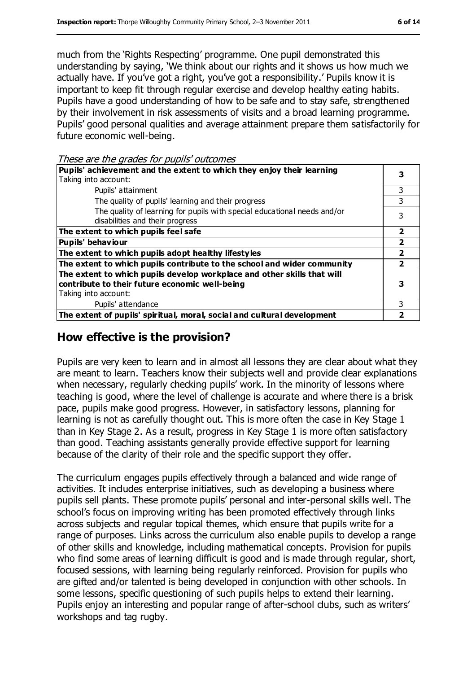much from the 'Rights Respecting' programme. One pupil demonstrated this understanding by saying, 'We think about our rights and it shows us how much we actually have. If you've got a right, you've got a responsibility.' Pupils know it is important to keep fit through regular exercise and develop healthy eating habits. Pupils have a good understanding of how to be safe and to stay safe, strengthened by their involvement in risk assessments of visits and a broad learning programme. Pupils' good personal qualities and average attainment prepare them satisfactorily for future economic well-being.

These are the grades for pupils' outcomes

| not an and grades for papils cateomics                                   |   |  |
|--------------------------------------------------------------------------|---|--|
| Pupils' achievement and the extent to which they enjoy their learning    |   |  |
| Taking into account:                                                     |   |  |
| Pupils' attainment                                                       | 3 |  |
| The quality of pupils' learning and their progress                       | 3 |  |
| The quality of learning for pupils with special educational needs and/or |   |  |
| disabilities and their progress                                          |   |  |
| The extent to which pupils feel safe                                     | 2 |  |
| <b>Pupils' behaviour</b>                                                 |   |  |
| The extent to which pupils adopt healthy lifestyles                      |   |  |
| The extent to which pupils contribute to the school and wider community  |   |  |
| The extent to which pupils develop workplace and other skills that will  |   |  |
| contribute to their future economic well-being                           |   |  |
| Taking into account:                                                     |   |  |
| Pupils' attendance                                                       | ٦ |  |
| The extent of pupils' spiritual, moral, social and cultural development  |   |  |

## **How effective is the provision?**

Pupils are very keen to learn and in almost all lessons they are clear about what they are meant to learn. Teachers know their subjects well and provide clear explanations when necessary, regularly checking pupils' work. In the minority of lessons where teaching is good, where the level of challenge is accurate and where there is a brisk pace, pupils make good progress. However, in satisfactory lessons, planning for learning is not as carefully thought out. This is more often the case in Key Stage 1 than in Key Stage 2. As a result, progress in Key Stage 1 is more often satisfactory than good. Teaching assistants generally provide effective support for learning because of the clarity of their role and the specific support they offer.

The curriculum engages pupils effectively through a balanced and wide range of activities. It includes enterprise initiatives, such as developing a business where pupils sell plants. These promote pupils' personal and inter-personal skills well. The school's focus on improving writing has been promoted effectively through links across subjects and regular topical themes, which ensure that pupils write for a range of purposes. Links across the curriculum also enable pupils to develop a range of other skills and knowledge, including mathematical concepts. Provision for pupils who find some areas of learning difficult is good and is made through regular, short, focused sessions, with learning being regularly reinforced. Provision for pupils who are gifted and/or talented is being developed in conjunction with other schools. In some lessons, specific questioning of such pupils helps to extend their learning. Pupils enjoy an interesting and popular range of after-school clubs, such as writers' workshops and tag rugby.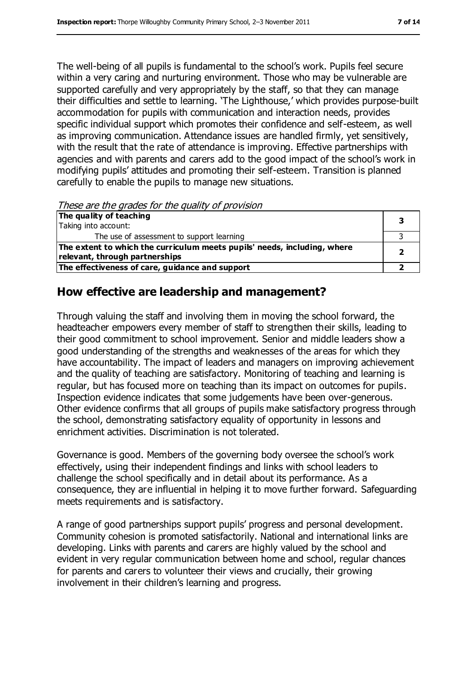The well-being of all pupils is fundamental to the school's work. Pupils feel secure within a very caring and nurturing environment. Those who may be vulnerable are supported carefully and very appropriately by the staff, so that they can manage their difficulties and settle to learning. 'The Lighthouse,' which provides purpose-built accommodation for pupils with communication and interaction needs, provides specific individual support which promotes their confidence and self-esteem, as well as improving communication. Attendance issues are handled firmly, yet sensitively, with the result that the rate of attendance is improving. Effective partnerships with agencies and with parents and carers add to the good impact of the school's work in modifying pupils' attitudes and promoting their self-esteem. Transition is planned carefully to enable the pupils to manage new situations.

These are the grades for the quality of provision

| The quality of teaching                                                  |  |
|--------------------------------------------------------------------------|--|
| Taking into account:                                                     |  |
| The use of assessment to support learning                                |  |
| The extent to which the curriculum meets pupils' needs, including, where |  |
| relevant, through partnerships                                           |  |
| The effectiveness of care, guidance and support                          |  |

## **How effective are leadership and management?**

Through valuing the staff and involving them in moving the school forward, the headteacher empowers every member of staff to strengthen their skills, leading to their good commitment to school improvement. Senior and middle leaders show a good understanding of the strengths and weaknesses of the areas for which they have accountability. The impact of leaders and managers on improving achievement and the quality of teaching are satisfactory. Monitoring of teaching and learning is regular, but has focused more on teaching than its impact on outcomes for pupils. Inspection evidence indicates that some judgements have been over-generous. Other evidence confirms that all groups of pupils make satisfactory progress through the school, demonstrating satisfactory equality of opportunity in lessons and enrichment activities. Discrimination is not tolerated.

Governance is good. Members of the governing body oversee the school's work effectively, using their independent findings and links with school leaders to challenge the school specifically and in detail about its performance. As a consequence, they are influential in helping it to move further forward. Safeguarding meets requirements and is satisfactory.

A range of good partnerships support pupils' progress and personal development. Community cohesion is promoted satisfactorily. National and international links are developing. Links with parents and carers are highly valued by the school and evident in very regular communication between home and school, regular chances for parents and carers to volunteer their views and crucially, their growing involvement in their children's learning and progress.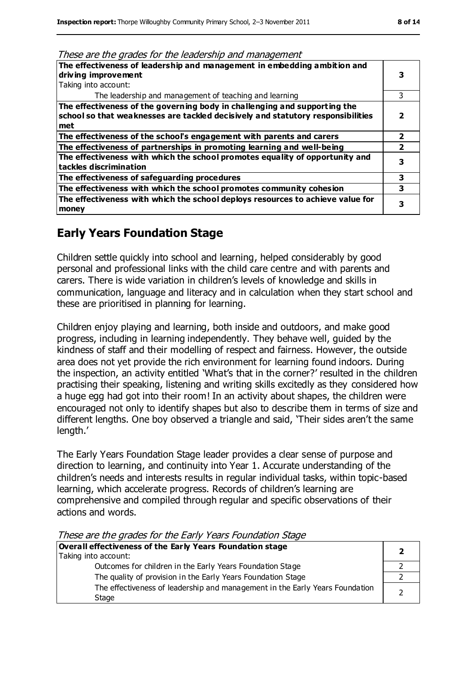| The effectiveness of leadership and management in embedding ambition and<br>driving improvement                                                                     |   |
|---------------------------------------------------------------------------------------------------------------------------------------------------------------------|---|
| Taking into account:                                                                                                                                                |   |
| The leadership and management of teaching and learning                                                                                                              | 3 |
| The effectiveness of the governing body in challenging and supporting the<br>school so that weaknesses are tackled decisively and statutory responsibilities<br>met |   |
| The effectiveness of the school's engagement with parents and carers                                                                                                | 2 |
| The effectiveness of partnerships in promoting learning and well-being                                                                                              |   |
| The effectiveness with which the school promotes equality of opportunity and<br>tackles discrimination                                                              |   |
| The effectiveness of safeguarding procedures                                                                                                                        | 3 |
| The effectiveness with which the school promotes community cohesion                                                                                                 | 3 |
| The effectiveness with which the school deploys resources to achieve value for<br>money                                                                             |   |

#### **Early Years Foundation Stage**

Children settle quickly into school and learning, helped considerably by good personal and professional links with the child care centre and with parents and carers. There is wide variation in children's levels of knowledge and skills in communication, language and literacy and in calculation when they start school and these are prioritised in planning for learning.

Children enjoy playing and learning, both inside and outdoors, and make good progress, including in learning independently. They behave well, guided by the kindness of staff and their modelling of respect and fairness. However, the outside area does not yet provide the rich environment for learning found indoors. During the inspection, an activity entitled 'What's that in the corner?' resulted in the children practising their speaking, listening and writing skills excitedly as they considered how a huge egg had got into their room! In an activity about shapes, the children were encouraged not only to identify shapes but also to describe them in terms of size and different lengths. One boy observed a triangle and said, 'Their sides aren't the same length.'

The Early Years Foundation Stage leader provides a clear sense of purpose and direction to learning, and continuity into Year 1. Accurate understanding of the children's needs and interests results in regular individual tasks, within topic-based learning, which accelerate progress. Records of children's learning are comprehensive and compiled through regular and specific observations of their actions and words.

These are the grades for the Early Years Foundation Stage

| Overall effectiveness of the Early Years Foundation stage                             |  |  |
|---------------------------------------------------------------------------------------|--|--|
| Taking into account:                                                                  |  |  |
| Outcomes for children in the Early Years Foundation Stage                             |  |  |
| The quality of provision in the Early Years Foundation Stage                          |  |  |
| The effectiveness of leadership and management in the Early Years Foundation<br>Stage |  |  |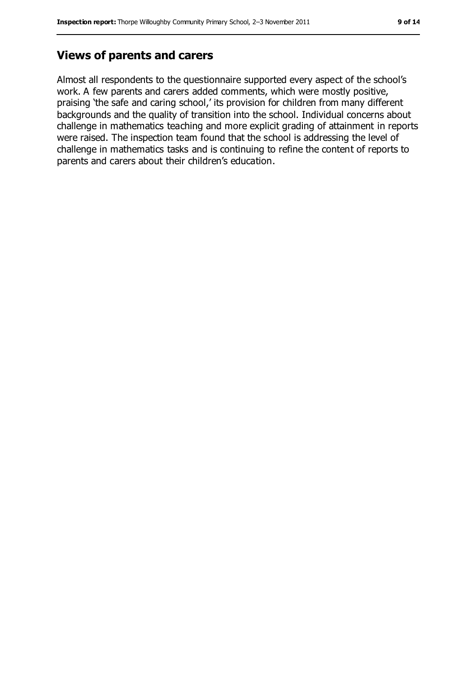#### **Views of parents and carers**

Almost all respondents to the questionnaire supported every aspect of the school's work. A few parents and carers added comments, which were mostly positive, praising 'the safe and caring school,' its provision for children from many different backgrounds and the quality of transition into the school. Individual concerns about challenge in mathematics teaching and more explicit grading of attainment in reports were raised. The inspection team found that the school is addressing the level of challenge in mathematics tasks and is continuing to refine the content of reports to parents and carers about their children's education.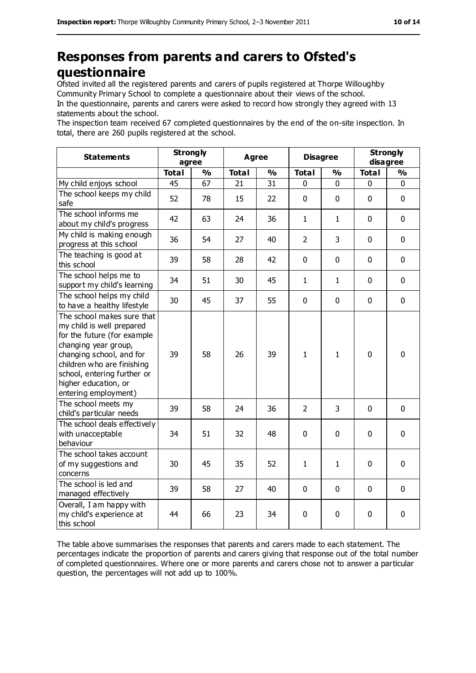# **Responses from parents and carers to Ofsted's questionnaire**

Ofsted invited all the registered parents and carers of pupils registered at Thorpe Willoughby Community Primary School to complete a questionnaire about their views of the school. In the questionnaire, parents and carers were asked to record how strongly they agreed with 13

statements about the school.

The inspection team received 67 completed questionnaires by the end of the on-site inspection. In total, there are 260 pupils registered at the school.

| <b>Statements</b>                                                                                                                                                                                                                                       | <b>Strongly</b><br>agree |               | <b>Agree</b> |               | <b>Disagree</b> |               | <b>Strongly</b><br>disagree |                |
|---------------------------------------------------------------------------------------------------------------------------------------------------------------------------------------------------------------------------------------------------------|--------------------------|---------------|--------------|---------------|-----------------|---------------|-----------------------------|----------------|
|                                                                                                                                                                                                                                                         | <b>Total</b>             | $\frac{9}{6}$ | <b>Total</b> | $\frac{1}{2}$ | <b>Total</b>    | $\frac{0}{0}$ | <b>Total</b>                | %              |
| My child enjoys school                                                                                                                                                                                                                                  | 45                       | 67            | 21           | 31            | 0               | $\mathbf 0$   | 0                           | 0              |
| The school keeps my child<br>safe                                                                                                                                                                                                                       | 52                       | 78            | 15           | 22            | 0               | $\mathbf 0$   | $\mathbf 0$                 | 0              |
| The school informs me<br>about my child's progress                                                                                                                                                                                                      | 42                       | 63            | 24           | 36            | $\mathbf{1}$    | $\mathbf{1}$  | $\mathbf 0$                 | 0              |
| My child is making enough<br>progress at this school                                                                                                                                                                                                    | 36                       | 54            | 27           | 40            | $\overline{2}$  | 3             | $\mathbf 0$                 | 0              |
| The teaching is good at<br>this school                                                                                                                                                                                                                  | 39                       | 58            | 28           | 42            | 0               | $\mathbf 0$   | $\mathbf 0$                 | 0              |
| The school helps me to<br>support my child's learning                                                                                                                                                                                                   | 34                       | 51            | 30           | 45            | $\mathbf{1}$    | $\mathbf{1}$  | $\mathbf 0$                 | 0              |
| The school helps my child<br>to have a healthy lifestyle                                                                                                                                                                                                | 30                       | 45            | 37           | 55            | 0               | $\mathbf 0$   | $\mathbf 0$                 | 0              |
| The school makes sure that<br>my child is well prepared<br>for the future (for example<br>changing year group,<br>changing school, and for<br>children who are finishing<br>school, entering further or<br>higher education, or<br>entering employment) | 39                       | 58            | 26           | 39            | $\mathbf{1}$    | $\mathbf{1}$  | $\mathbf 0$                 | 0              |
| The school meets my<br>child's particular needs                                                                                                                                                                                                         | 39                       | 58            | 24           | 36            | $\overline{2}$  | 3             | $\mathbf 0$                 | 0              |
| The school deals effectively<br>with unacceptable<br>behaviour                                                                                                                                                                                          | 34                       | 51            | 32           | 48            | 0               | $\mathbf 0$   | $\mathbf 0$                 | 0              |
| The school takes account<br>of my suggestions and<br>concerns                                                                                                                                                                                           | 30                       | 45            | 35           | 52            | $\mathbf{1}$    | $\mathbf{1}$  | $\mathbf 0$                 | $\overline{0}$ |
| The school is led and<br>managed effectively                                                                                                                                                                                                            | 39                       | 58            | 27           | 40            | 0               | $\mathbf 0$   | $\mathbf 0$                 | 0              |
| Overall, I am happy with<br>my child's experience at<br>this school                                                                                                                                                                                     | 44                       | 66            | 23           | 34            | 0               | 0             | $\mathbf 0$                 | 0              |

The table above summarises the responses that parents and carers made to each statement. The percentages indicate the proportion of parents and carers giving that response out of the total number of completed questionnaires. Where one or more parents and carers chose not to answer a particular question, the percentages will not add up to 100%.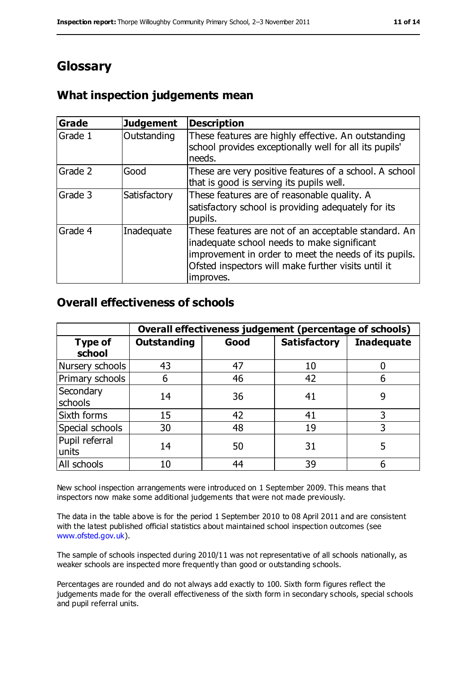## **Glossary**

## **What inspection judgements mean**

| <b>Grade</b> | <b>Judgement</b> | <b>Description</b>                                                                                                                                                                                                               |
|--------------|------------------|----------------------------------------------------------------------------------------------------------------------------------------------------------------------------------------------------------------------------------|
| Grade 1      | Outstanding      | These features are highly effective. An outstanding<br>school provides exceptionally well for all its pupils'<br>needs.                                                                                                          |
| Grade 2      | Good             | These are very positive features of a school. A school<br>that is good is serving its pupils well.                                                                                                                               |
| Grade 3      | Satisfactory     | These features are of reasonable quality. A<br>satisfactory school is providing adequately for its<br>pupils.                                                                                                                    |
| Grade 4      | Inadequate       | These features are not of an acceptable standard. An<br>inadequate school needs to make significant<br>improvement in order to meet the needs of its pupils.<br>Ofsted inspectors will make further visits until it<br>improves. |

#### **Overall effectiveness of schools**

|                          | Overall effectiveness judgement (percentage of schools) |      |                     |                   |
|--------------------------|---------------------------------------------------------|------|---------------------|-------------------|
| <b>Type of</b><br>school | <b>Outstanding</b>                                      | Good | <b>Satisfactory</b> | <b>Inadequate</b> |
| Nursery schools          | 43                                                      | 47   | 10                  |                   |
| Primary schools          | 6                                                       | 46   | 42                  | 6                 |
| Secondary<br>schools     | 14                                                      | 36   | 41                  | 9                 |
| Sixth forms              | 15                                                      | 42   | 41                  | 3                 |
| Special schools          | 30                                                      | 48   | 19                  |                   |
| Pupil referral<br>units  | 14                                                      | 50   | 31                  | 5                 |
| All schools              | 10                                                      | 44   | 39                  |                   |

New school inspection arrangements were introduced on 1 September 2009. This means that inspectors now make some additional judgements that were not made previously.

The data in the table above is for the period 1 September 2010 to 08 April 2011 and are consistent with the latest published official statistics about maintained school inspection outcomes (see [www.ofsted.gov.uk\)](http://www.ofsted.gov.uk/).

The sample of schools inspected during 2010/11 was not representative of all schools nationally, as weaker schools are inspected more frequently than good or outstanding schools.

Percentages are rounded and do not always add exactly to 100. Sixth form figures reflect the judgements made for the overall effectiveness of the sixth form in secondary schools, special schools and pupil referral units.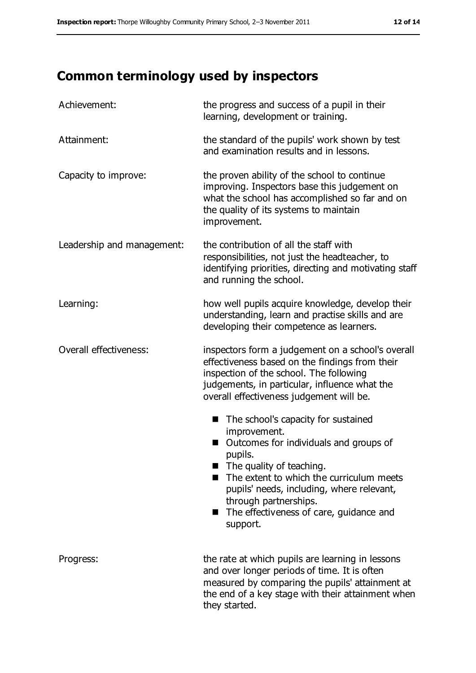# **Common terminology used by inspectors**

| Achievement:                  | the progress and success of a pupil in their<br>learning, development or training.                                                                                                                                                                                                                                 |  |  |
|-------------------------------|--------------------------------------------------------------------------------------------------------------------------------------------------------------------------------------------------------------------------------------------------------------------------------------------------------------------|--|--|
| Attainment:                   | the standard of the pupils' work shown by test<br>and examination results and in lessons.                                                                                                                                                                                                                          |  |  |
| Capacity to improve:          | the proven ability of the school to continue<br>improving. Inspectors base this judgement on<br>what the school has accomplished so far and on<br>the quality of its systems to maintain<br>improvement.                                                                                                           |  |  |
| Leadership and management:    | the contribution of all the staff with<br>responsibilities, not just the headteacher, to<br>identifying priorities, directing and motivating staff<br>and running the school.                                                                                                                                      |  |  |
| Learning:                     | how well pupils acquire knowledge, develop their<br>understanding, learn and practise skills and are<br>developing their competence as learners.                                                                                                                                                                   |  |  |
| <b>Overall effectiveness:</b> | inspectors form a judgement on a school's overall<br>effectiveness based on the findings from their<br>inspection of the school. The following<br>judgements, in particular, influence what the<br>overall effectiveness judgement will be.                                                                        |  |  |
|                               | The school's capacity for sustained<br>■<br>improvement.<br>Outcomes for individuals and groups of<br>pupils.<br>The quality of teaching.<br>The extent to which the curriculum meets<br>pupils' needs, including, where relevant,<br>through partnerships.<br>The effectiveness of care, guidance and<br>support. |  |  |
| Progress:                     | the rate at which pupils are learning in lessons<br>and over longer periods of time. It is often<br>measured by comparing the pupils' attainment at<br>the end of a key stage with their attainment when<br>they started.                                                                                          |  |  |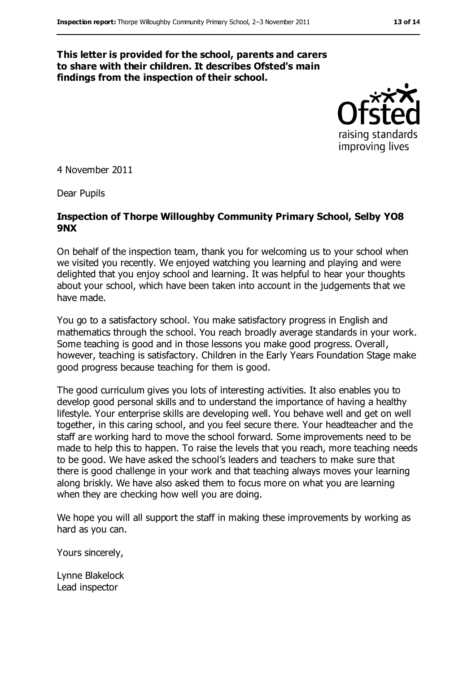#### **This letter is provided for the school, parents and carers to share with their children. It describes Ofsted's main findings from the inspection of their school.**



4 November 2011

Dear Pupils

#### **Inspection of Thorpe Willoughby Community Primary School, Selby YO8 9NX**

On behalf of the inspection team, thank you for welcoming us to your school when we visited you recently. We enjoyed watching you learning and playing and were delighted that you enjoy school and learning. It was helpful to hear your thoughts about your school, which have been taken into account in the judgements that we have made.

You go to a satisfactory school. You make satisfactory progress in English and mathematics through the school. You reach broadly average standards in your work. Some teaching is good and in those lessons you make good progress. Overall, however, teaching is satisfactory. Children in the Early Years Foundation Stage make good progress because teaching for them is good.

The good curriculum gives you lots of interesting activities. It also enables you to develop good personal skills and to understand the importance of having a healthy lifestyle. Your enterprise skills are developing well. You behave well and get on well together, in this caring school, and you feel secure there. Your headteacher and the staff are working hard to move the school forward. Some improvements need to be made to help this to happen. To raise the levels that you reach, more teaching needs to be good. We have asked the school's leaders and teachers to make sure that there is good challenge in your work and that teaching always moves your learning along briskly. We have also asked them to focus more on what you are learning when they are checking how well you are doing.

We hope you will all support the staff in making these improvements by working as hard as you can.

Yours sincerely,

Lynne Blakelock Lead inspector